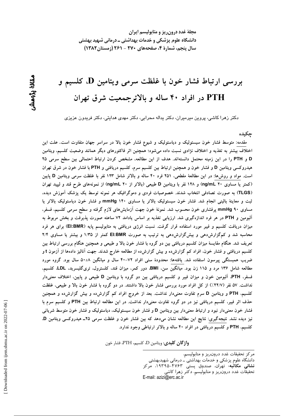مجلهٔ غدد درون ریز و متابولیسم ایران دانشگاه علوم پزشکی و خدمات بهداشتی ــ درمانی شهید بهشتی سال پنجم، شمارهٔ ۴، صفحههای ۲۷۰ - ۲۶۱ (زمستان ۱۳۸۲)

# بررسی ارتباط فشار خون با غلظت سرمی ویتامین D، کلسیم و PTH در افراد ۴۰ ساله و بالاترجمعیت شرق تهران

دکتر زهرا کاشی، پروین میرمیران، دکتر یداله محرابی، دکتر مهدی هدایتی، دکتر فریدون عزیزی

جكىدە

مقدمه: متوسط فشار خون سیستولیک و دیاستولیک و شیوع فشار خون بالا در سراسر جهان متفاوت است. علت این اختلاف بیشتر به تغذیه و اختلاف نژادی نسبت داده میشود؛ همچنین اثر فاکتورهای دیگر همانند وضعیت کلسیم، ویتامین D و PTH را در این زمینه محتمل دانستهاند. هدف از این مطالعه، مشخص کردن ارتباط احتمالی بین سطح سرمی ۲۵ هیدروکسی ویتامین D و فشار خون و همچنین ارتباط بین کلسیم سرم، کلسیم دریافتی و PTH با فشار خون در شرق تهران است. مواد و روش۵ا: در این مطالعهٔ مقطعی، ۲۵۱ فرد ۴۰ ساله و بالاتر شامل ۱۲۳ نفر با غلظت سرمی ویتامین D پایین (کمتر یا مساوی ۲۰ ng/mL) و ۱۲۸ نفر با ویتامین D طبیعی (بالاتر از ۲۰ ng/mL) از نمونههای طرح قند و لیپید تهران (TLGS) به صورت تصادفی انتخاب شدند. خصوصیات فردی و دموگرافیک هر نمونه توسط یک پزشک آموزش دیده، ثبت و معاینهٔ بالینی انجام شد. فشار خون سیستولیک بالاتر یا مساوی ۱۴۰ mmHg و فشار خون دیاستولیک بالاتر یا مساوی ۹۰ mmHg پرفشاری خون محسوب شد. نمونهٔ خون جهت آزمایش۵ای لازم گرفته و سطح سرمی کلسیم، فسفر، آلبومین و PTH در هر فرد اندازهگیری شد. ارزیابی تغذیه بر اساس یادامد ۷۲ ساعته صورت پذیرفت و بخش مربوط به میزان دریافت کلسیم و فیبر مورد استفاده قرار گرفت. نسبت انرژی دریافتی به متابولیسم پایه (EI:BMR) برای هر فرد محاسبه شد و کمگزارش دهی و بیش گزارش دهی به ترتیب به صورت El:BMR کمتر از ۱/۳۵ و بیشتر یا مساوی ۲/۴ تعریف شد. هنگام مقایسهٔ میزان کلسیم دریافتی بین دو گروه با فشار خون بالا و طبیعی و همچنین هنگام بررسی ارتباط بین کلسیم دریافتی و فشار خون، افراد کم گزارش۵ده و بیش گزارشده از مطالعه خارج شدند. جهت آنالیز دادهها از آزمون t و ضریب همبستگی پیرسون استفاده شد. یافتهها: محدودهٔ سنی افراد ۷۲–۴۰ سال و میانگین ۸+۵۰ سال بود. گروه مورد مطالعه شامل ۱۳۶ مرد و ۱۱۵ زن بود. میانگین سن، BMI، دور کمر، میزان قند، کلسترول، تری گلیسرید، LDL، کلسیم، فسفر، PTH، اَلبومین خون و میزان فیبر و کلسیم دریافتی بین دو گروه با ویتامین D طبیعی و پایین، اختلاف معنیدار نداشت. ۵۷ نفر (۲۲/۷٪) از کل افراد مورد بررسی فشار خون بالا داشتند. در دو گروه با فشار خون بالا و طبیعی، غلظت کلسیم، PTH و ویتامین D سرم تفاوت معنیدار نداشت. بعد از خروج افراد کم گزارشده و بیش گزارشده و همچنین حذف اثر فیبر، کلسیم دریافتی نیز در دو گروه تفاوت معنیدار نداشت. در این مطالعه ارتباط بین PTH و کلسیم سرم با فشار خون معنیدار نبود و ارتباط معنیدار بین ویتامین D و فشار خون سیستولیک، دیاستولیک و فشار خون متوسط شریانی نیز دیده نشد. نتیجهگیری: نتایج این مطالعه نشان میدهد که بین فشار خون و غلظت سرمی ۲۵ـ هیدروکسی ویتامین D. کلسیم، PTH و کلسیم دریافتی در افراد ۴۰ ساله و بالاتر ارتباطی وجود ندارد.

واژگان كليدي: ويتامين D، كلسيم، PTH، فشار خون

دانشگاه علوم پزشکی و خدمات بهداشتی ــ درمانی شهیدبهشتی

**نشانی مکاتبه**، تهران، صندوق پستی ۴۷۶۳–۱۹۳۹۵، مرکز تحقیقات غدد درون٫یز و متابولیسم، دکتر زهرا کاشی

E-mail: azizi@erc.ac.ir

ىقالة يزومشى

مركز تحقيقات غدد درون ريز و متابوليسم،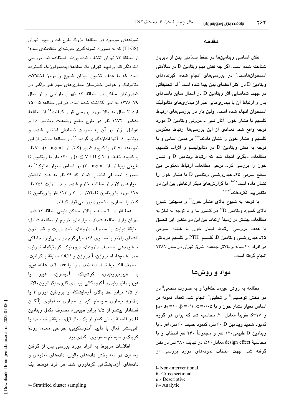### مقدمه

نقش اساسی ویتامینها در حفظ سلامتی بدن از دیرباز شناخته شده است. اگر چه نقش مهم ویتامین D در سلامتی استخوانهاست،<sup>\</sup> در بررسیهای انجام شده، گیرندههای وبتامین D در اکثر اعضای بدن پیدا شده است. $^7$ لذا تحقیقاتی در جهت شناسایی اثر ویتامین D در اعمال سایر بافتهای بدن و ارتباط آن با بیماریهایی غیر از بیماریهای متابولیک استخوان انجام شده است. اولین بار در بررسی های ارتباط كلسيم با فشار خون، آثار قلبي ـ عروقي ويتامين D مورد توجه واقع شد. تعدادی از این بررسیها ارتباط معکوس کلسیم و فشار خون را نشان دادند.<sup>۵-۳</sup> بر همین اساس و با توجه به نقش ويتامين D در متابوليسم و اثرات كلسيم، مطالعات دیگری انجام شد که ارتباط ویتامین D و فشار خون را بررسی کرد. برخی مطالعات ارتباط معکوس بین سطح سرمی ۲۵ـ هیدروکسی ویتامین D با فشار خون را نشان داده است<sup>۰٬۱۰</sup>۰ اما گزارشهای دیگر ارتباطی بین این دو متغیر بیدا نکر دهاند. ۱۴-۱۱

با توجه به شیوع بالای فشار خون<sup>۱۵</sup> و همچنین شیوع بالای کمبود ویتامین <sup>۱٬</sup>D در کشور ما و با توجه به نیاز به مطالعات بیشتر در زمینهٔ ارتباط بین این دو متغیر، این تحقیق با هدف بررسی ارتباط فشار خون با غلظت سرمی ۲۵ـ هیدروکسی ویتامین D، کلسیم، PTH و کلسیم دریافتی در افراد ۴۰ ساله و بالاتر جمعیت شرق تهران در سال ۱۳۸۱ انجام گرفته است.

مواد و روشها

مطالعه به روش غیرمداخلهای<sup>:</sup> و به صورت مقطعی" در دو بخش توصيفي" و تحليلي" انجام شد. تعداد نمونه بر  $\mu_1$ - اساس معیار فشار خون و با ۰/۰۵  $\alpha = \cdots$ ، ۰/۱ = ۰/۱ و S=۱۷ تقریباً معادل ۶۰ محاسبه شد که برای هر گروه کمبود شدید ویتامین P۰ D نفر، کمبود خفیف ۶۰ نفر، افراد با ويتامين D طبيعي ١٢٠ نفر و مجموعاً ٢۴٠ نفر انتخاب و با محاسبهٔ design effect معادل ۲۰٪، در نهایت ۲۸۰ نفر در نظر گرفته شد. جهت انتخاب نمونههای مورد بررسی، از

iii- Descriptive

نمونههای موجود در مطالعهٔ بزرگ طرح قند و لیپید تهران (TLGS) که به صورت نمونهگیری خوشهای طبقهبندی شده<sup>۷</sup> از منطقهٔ ۱۳ تهران انتخاب شده بودند، استفاده شد. بررسی آيندهنگر قند و ليپيد تهران يک مطالعهٔ اپيدميولوژيک گسترده است که با هدف تخمین میزان شیوع و بروز اختلالات متابولیک و عوامل خطرساز بیماریهای مهم غیر واگیر در شهروندان ساكن در منطقهٔ ١٣ تهران طراحى و از سال ٧٩-١٣٧٨ به اجرا گذاشته شده است. در اين مطالعه ١٥٠٠٥ فرد ۳ سال به بالا مورد بررسی قرار گرفتند.<sup>۱۵</sup> از مطالعهٔ مذکور، ۱۱۷۲ نفر در طرح جامع وضعیت ویتامین D و عوامل مؤثر بر آن به صورت تصادفی انتخاب شدند و ويتامين D آنها اندازهگيري گرديد. 1⁄2 در مطالعهٔ حاضر از اين نمونهها ۷۰ نفر با کمبود شدید (کمتر از ng/mL ۱۰)، ۷۰ نفر با کمبود خفیف (۲۰ ≥ Vit D) و ۱۴۰ نفر با ویتامین D طبیعی (بیشتر از ۲۰ ng/ml) بر اساس معیار هالیک<sup>۷٬</sup> به صورت تصادفی انتخاب شدند که ۲۹ نفر به علت نداشتن معیارهای لازم از مطالعه خارج شدند و در نهایت ۲۵۱ نفر ۱۲۸ مورد با ویتامین D بالاتر از ۲۰ و ۱۲۳ نفر با ویتامین D کمتر یا مساوی ۲۰ مورد بررسی قرار گرفتند.

همهٔ افراد ۴۰ ساله و بالاتر ساکن دایمی منطقهٔ ۱۳ شهر تهران وارد مطالعه شدند. معیارهای خروج از مطالعه شامل: سابقهٔ دیابت یا مصرف داروهای ضد دیابت و قند خون ناشتای بالاتر یا مساوی ۱۲۶ میلیگرم در دسی لیتر، حاملگی و شیردهی، مصرف داروهای دیورتیک، کورتیکواستروئید، ضد تشنجها، استروژن، آندروژن و OCP، سابقهٔ پانکراتیت، مصرف الکل بیشتر از ۵۰cc در روز یا ۴۰۰cc در هفته، هیپو يا ھيپرتيروئيد*ى،* كوشينگ، آديسون، ھيپو يا هیپرپاراتیروئیدی، آکرومگالی، بیماری کلیوی (کراتینین بالاتر از ۱/۵ برابر حد بالای آزمایشگاه و پروتئین اوری ۳ یا بالاتر)، بیماری سیستم کبد و مجاری صفراوی (آلکالن فسفاتاز بیشتر از ۱/۵ برابر طبیعی)، مصرف مکمل ویتامین در فاصلهٔ زمانی کمتر از یک سال قبل، سابقهٔ زخم معده یا D اثنیعشر فعال با تأیید آندوسکویی، جراحی معده، رودهٔ کوچک و سیستم صفراوی ـ کبدی بود.

اطلاعات مربوط به افراد مورد بررسی پس از گرفتن رضایت در سه بخش دادههای بالینی، دادههای تغذیهای و دادههای آزمایشگاهی گرداوری شد. هر فرد توسط یک

i- Non-interventional

ii- Cross sectional

iv-Analytic

v- Stratified cluster sampling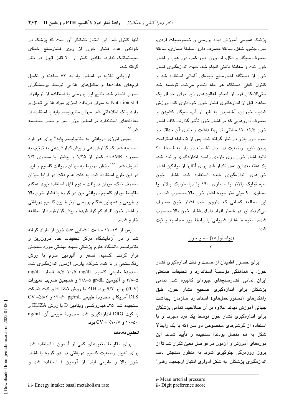پزشک عمومی آموزش دیده بررسی و خصوصیات فردی، سن، جنس، شغل، سابقهٔ مصرف دارو، سابقهٔ بیماری، سابقهٔ مصرف سيگار و الكل، قد، وزن، دور كمر، دور هيپ و فشار خون ثبت و معاينهٔ باليني انجام شد. جهت اندازهگيري فشار خون از دستگاه فشارسنج جیوهای آلمانی استفاده شد و کنترل کیفی دستگاه هر ماه انجام میشد. توصیه شد حتیالامکان فرد از انجام فعالیتهای زیر برای حداقل یک ساعت قبل از اندازهگیری فشار خون خودداری کند: ورزش شدید، خوردن، آشامیدن به غیر از آب، سیگار کشیدن و مصرف داروهایی که بر فشار خون تأثیر گذارند. کاف فشار خون ۱۲/۵-۱۲ سانتی متر یهنا داشت و بلندی آن حداقل دو سوم دور بازو در نظر گرفته شد. پس از ۵ دقیقه استراحت بدون تغییر وضعیت در حال نشسته دو بار به فاصلهٔ ۳۰ ثانیه فشار خون روی بازوی راست اندازهگیری و ثبت شد. یک هفته بعد این عمل تکرار شد. برای آنالیز از میانگین فشار خونهای اندازهگیری شده استفاده شد. فشار خون سیستولیک بالاتر یا مساوی ۱۴۰ یا دیاستولیک بالاتر یا مساوی ۹۰ میلی متر جیوه فشار خون بالا محسوب شد. در این مطالعه کسانی که داروی ضد فشار خون مصرف میکردند نیز در شمار افراد دارای فشار خون بالا محسوب شدند. متوسط فشار شریانی<sup>:</sup> با رابطهٔ زیر محاسبه و ثبت شد :

$$
\frac{(\underbrace{\text{cylunig}}) + (\underbrace{\text{cylunig}}) }{\text{r}}
$$

برای حصول اطمینان از صحت و دقت اندازهگیری فشار خون، با هماهنگی مؤسسهٔ استاندارد و تحقیقات صنعتی ایران تمامی فشارسنجهای جیوهای کالیبره شد. تمامی یزشکان برا*ی* اندازهگیری صحیح فشار خون، طبق راهکارهای (دستورالعملهای) استاندارد سازمان بهداشت جهانی آموزش دیدند. علاوه بر آن صلاحیت تمامی پزشکان برای اندازهگیری فشار خون توسط یک فرد مجرب و با استفاده از گوشیهای مخصوص دو سر (که با یک رابطY شکل به هم متصل بودند) سنجیده و تأیید شدند. این دورههای آموزش و آزمون در فواصل معین تکرار شد تا از بروز روزمرگی جلوگیری شود. به منظور سنجش دقت اندازهگیری یزشکان، به شکل ادواری امتیاز ارجحیت رقمی<sup>ة</sup>

i- Mean arterial pressure

آنها کنترل شد. این امتیاز نشانگر آن است که پزشک در خواندن عدد فشار خون از روی فشارسنج خطای سیستماتیک ندارد. مقادیر کمتر از ۲۰ قابل قبول در نظر گر فته شد.

ارزیابی تغذیه بر اساس یادامد ۷۲ ساعته و تکمیل فرمهای عادتها و مکملهای غذایی توسط پرسشگران مجرب انجام شد. نتایج این بررسی با استفاده از نرمافزار 4 Nutritionist به میزان دریافت اجزای مواد غذایی تبدیل و وارد بانک اطلاعاتی شد. میزان متابولیسم پایه با استفاده از معادلههای استاندارد بر اساس وزن، سن و جنس محاسبه شد. ۱۸

سپس انرژی دریافتی به متابولیسم پایه<sup>ااا</sup> برای هر فرد محاسبه شد. کم گزارش دهی و بیش گزارش دهی به ترتیب به صورت EI:BMR کمتر از ۱/۳۵ و بیشتر یا مساوی ۲/۴ تعریف شد. <sup>۱۹،۲۰</sup> بخش مربوط به میزان دریافت کلسیم و فیبر در این طرح استفاده شد. به علت عدم دقت در ارایهٔ میزان مصرف نمک، میزان دریافت سدیم قابل استفاده نبود. هنگام مقایسهٔ میزان کلسیم دریافتی بین دو گروه با فشار خون بالا و طبیعی و همچنین هنگام بررسی ارتباط بین کلسیم دریافتی و فشار خون، افراد کم گزارشده و بیش گزارشده از مطالعه خارج شدند.

پس از ۱۴-۱۲ ساعت ناشتایی ۵cc خون از افراد گرفته شد و در آزمایشگاه مرکز تحقیقات غدد درون٫ریز و متابولیسم دانشگاه علوم پزشکی شهید بهشتی مورد سنجش قرار گرفت. کلسیم، فسفر و آلبومین سرم با روش رنگسنجی و با کیت شرکت پارس آزمون اندازهگیری شد. محدودهٔ طبیعی کلسیم A/۵-۱۰/۵ mg/dL، فسفر mg/dL ۵–۳/۸ و آلبومین gr/dL ۵–۳/۸ و همچنین ضریب تغییرات (CV):) برابر ۹/۲ بود. PTH با روش ELIZA و کیت شرکت DLS آمريكا با محدودهٔ طبيعي ١٣-۶۰ pg/mL و CV =٪٥/٢ سنجیده شد. ۲۵ـ هیدروکسی ویتامین D با روش ELIZA و با کیت DRG اندازهگیری شد. محدودهٔ طبیعی آن ng/mL  $CV = \langle \cdot | V \rangle \cdot \langle \cdot | V \rangle$  دو د  $\cdot$ 

### تحليل دادەھا

برای مقایسهٔ متغیرهای کمی از آزمون t استفاده شد. برای تعیین وضعیت کلسیم دریافتی در دو گروه با فشار خون بالا و طبیعی ابتدا از آزمون t استفاده شد و

ii- Digit preference score

iii- Energy intake: basal metabolism rate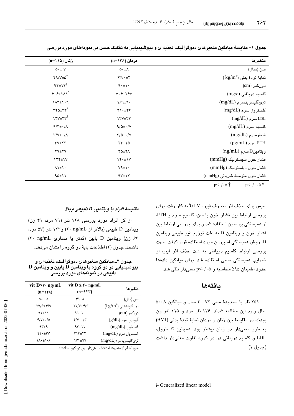| متغيرها                                    | مردان (۱۳۶=n)                           | زنان (۱۱۵=n)                                                                                                                                                                                                                                                                                                                                                                                                                      |
|--------------------------------------------|-----------------------------------------|-----------------------------------------------------------------------------------------------------------------------------------------------------------------------------------------------------------------------------------------------------------------------------------------------------------------------------------------------------------------------------------------------------------------------------------|
| سن (سال)                                   | $\Delta \cdot \pm \Lambda$              | $\Delta \cdot \pm V$                                                                                                                                                                                                                                                                                                                                                                                                              |
| $(\ kg/m^{\varepsilon})$ نمایهٔ تودهٔ بدنی | $Y$ $\xi$ $\rightarrow$ $Y$             | $Y9/Y \pm 0$                                                                                                                                                                                                                                                                                                                                                                                                                      |
| دورکمر (cm)                                | $\hat{\eta} \cdot \pm \hat{\eta} \cdot$ | $9Y \pm 1Y^{\dagger}$                                                                                                                                                                                                                                                                                                                                                                                                             |
| كلسيم دريافتى (mg/d)                       | $V \cdot F \pm Y F V$                   | $P. P \pm Y \wedge Y$                                                                                                                                                                                                                                                                                                                                                                                                             |
| $(mg/dL)$ ترىگليسرىدسرم                    | $189 \pm 9.$                            | $1\Lambda f \pm 1.9$                                                                                                                                                                                                                                                                                                                                                                                                              |
| $(mg/dL)$ کلسترول سرم                      | $\mathbf{Y} \setminus \mathbf{Y}$       | $\mathbf{Y} \mathbf{Y} \mathbf{Q} \pm \mathbf{Y} \mathbf{Y}^*$                                                                                                                                                                                                                                                                                                                                                                    |
| $(mg/dL)$ سرم $LDL$                        | <b>ITV±TT</b>                           | $YY + YY^{\dagger}$                                                                                                                                                                                                                                                                                                                                                                                                               |
| $(mg/dL)$ كلسيم سرم                        | $9/0+1$                                 | $9/\tau$ + $\cdot/\Lambda$                                                                                                                                                                                                                                                                                                                                                                                                        |
| $(mg/dL)$ فسفرسرم                          | $\Upsilon/\Delta \pm \cdot /V$          | $\Upsilon/V \pm \cdot / \Lambda$                                                                                                                                                                                                                                                                                                                                                                                                  |
| PTH سرم (pg/mL)                            | $\tau\tau \pm 10$                       | $YV \pm YY$                                                                                                                                                                                                                                                                                                                                                                                                                       |
| $(ng/mL)$ ويتامينD سرم                     | $Y\Delta \pm Y\Delta$                   | $Y9 \pm Y9$                                                                                                                                                                                                                                                                                                                                                                                                                       |
| فشار خون سیستولیک (mmHg)                   | $\mathcal{N} \cdot \pm \mathcal{N}$     | $\frac{1}{\sqrt{1+\frac{1}{\sqrt{1+\frac{1}{\sqrt{1+\frac{1}{\sqrt{1+\frac{1}{\sqrt{1+\frac{1}{\sqrt{1+\frac{1}{\sqrt{1+\frac{1}{\sqrt{1+\frac{1}{\sqrt{1+\frac{1}{\sqrt{1+\frac{1}{\sqrt{1+\frac{1}{\sqrt{1+\frac{1}{\sqrt{1+\frac{1}{\sqrt{1+\frac{1}{\sqrt{1+\frac{1}{\sqrt{1+\frac{1}{\sqrt{1+\frac{1}{\sqrt{1+\frac{1}{\sqrt{1+\frac{1}{\sqrt{1+\frac{1}{\sqrt{1+\frac{1}{\sqrt{1+\frac{1}{\sqrt{1+\frac{1}{\sqrt{1+\frac{1$ |
| فشار خون دیاستولیک (mmHg)                  | $V$ ۹ $\pm$ \ $\cdot$                   | $\Lambda$ \ $\pm$ \ $\cdot$                                                                                                                                                                                                                                                                                                                                                                                                       |
| فشار خون متوسط شریانی (mmHg)               | $97\pm17$                               | 90±11                                                                                                                                                                                                                                                                                                                                                                                                                             |
|                                            |                                         |                                                                                                                                                                                                                                                                                                                                                                                                                                   |

جدول ۱– مقایسهٔ میانگین متغیرهای دموگرافیک، تغذیهای و بیوشیمیایی به تفکیک جنس در نمونههای مورد بررسی

 $p<\cdot/\cdot\cdot\varphi$  $p<\cdot/\cdot \Delta$ 

سپس برای حذف اثر مصرف فیبر، GLM' به کار رفت. برای بررسی ارتباط بین فشار خون با سن، کلسیم سرم و PTH، از همبستگی پیرسون استفاده شد و برای بررسی ارتباط بین فشار خون و ویتامین D به علت توزیع غیر طبیعی ویتامین D، روش همبستگی اسپیرمن مورد استفاده قرار گرفت. جهت بررسی ارتباط کلسیم دریافتی به علت حذف اثر فیبر، از ضرایب همبستگی نسبی استفاده شد. برای میانگین دادهها حدود اطمينان ۹۵٪ محاسبه و p<۰/۰۵ معنیدار تلقی شد.

## بافتهها

۲۵۱ نفر با محدودهٔ سنی ۷۲-۴۰ سال و میانگین ۸+۵۰ سال وارد این مطالعه شدند. ۱۳۶ نفر مرد و ۱۱۵ نفر زن بودند. در مقايسة بين زنان و مردان نماية تودة بدني (BMI) به طور معنی دار در زنان بیشتر بود. همچنین کلسترول، LDL و کلسیم دریافتی در دو گروه تفاوت معنیدار داشت (جدول ۱).

#### مقايسية افراد با ويتامين D طبيعي وبالا

از کل افراد مورد بررسی ۱۲۸ نفر (۷۹ مرد، ۴۹ زن) ويتامين D طبيعي (بالاتر از ng/mL) و ١٢٣ نفر (٥٧ مرد، ۶۶ زن) ویتامین D پایین (کمتر یا مساوی ۲۰ ng/mL) داشتند. جدول (۲) اطلاعات پایهٔ دو گروه را نشان میدهد.

#### جدول ۲ــ میانگین متغیرهای دموگرافیک، تغذیهای و  ${\bf D}$  بیوشیمیایی در دو گروه با ویتامین  ${\bf D}$  پایین و ویتامین طبیعی در نمونههای مورد بررسی

|                                                  | vit $D \leq \tau \cdot ng/mL$               | vit $D>r \cdot ng/mL$       |  |
|--------------------------------------------------|---------------------------------------------|-----------------------------|--|
| متغيرها                                          | $(n=15)$                                    | $(n=11)$                    |  |
| سن (سال)                                         | ۴۹±۸                                        | $\Delta$ + + $\Lambda$      |  |
| $\langle\text{kg/m}^\gamma\rangle$ نمايۀتودۀبدنى | $\Upsilon V/\Upsilon \pm \Upsilon/\Upsilon$ | 814±477                     |  |
| دور کمر (cm)                                     | $91 \pm 1$                                  | $9Y+11$                     |  |
| ألبومين سرم (g/dL)                               | $Y/Y_{\pm}$ . $Y'$                          | $Y/V \pm 1/\Delta$          |  |
| قند خون (mg/dL)                                  | $95 + 11$                                   | $95+9$                      |  |
| کلسترول سرم (mg/dL)                              | $YY^{\pm}YY$                                | $YY + YY$                   |  |
| تری گلیسر پدسرم(mg/dL)                           | ۱۷۱±۹۹                                      | $\lambda + \pm \lambda + 5$ |  |
|                                                  |                                             |                             |  |

هیچ کدام از متغیرها اختلاف معنیدار بین دو گروه نداشتند.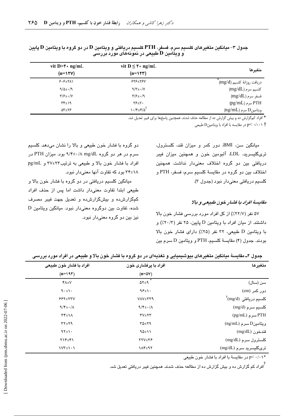| vit D> $\mathbf{Y}$ ng/mL | vit $D \le \tau \cdot ng/mL$             | متغيرها                        |
|---------------------------|------------------------------------------|--------------------------------|
| $(n=11)$                  | $(n=15)$                                 |                                |
| $5.5+7$                   | $555 \pm 154$                            | دريافت روزانهٔ كلسيم (mg/d)    |
| $9/\Delta \pm 1.9$        | $9/\tau$ + $\cdot/\gamma$                | $(mg/dL)$ کلسیم سرم            |
| $\frac{1}{2}$             | $\frac{1}{2}$                            | $(mg/dL)$ فسفر سرم             |
| $\mathcal{W}^{\pm}$       | $Y\Sigma + Y$                            | $(pg/mL)$ سرم PTH              |
| ۵۳±۲۶                     | $\lambda \cdot$ ۴ $\pm$ ۴/۵ $^{\dagger}$ | $\langle$ ng/mL) ويتامين D سرم |

جدول ۳– میانگین متغیرهای کلسیم سرم، فسفر، PTH کلسیم دریافتی و ویتامین D در دو گروه با ویتامین D پایین و ویتامین D طبیعی در نمونههای مورد بررسی

\* <mark>افراد کمگزارش ده و بیش گزارش ده از مطالعه جذف</mark> شدند. همچنین باسخها برای فیبر تعدیل شد.

p< ٠/٠٠١ f در مقايسه با افراد با ويتامينD طبيعي

میانگین سن، BMI، دور کمر و میزان قند، کلسترول، تریگلیسرید، LDL آلبومین خون و همچنین میزان فیبر دریافتی بین دو گروه اختلاف معنیدار نداشت. همچنین اختلاف بين دو گروه در مقايسة كلسيم سرم، فسفر، PTH و کلسيم دريافتي معني دار نبود (جدول ٣).

# مقايستُ افراد با فشار خون طبيعي و بالا

۵۷ نفر (۲۲/۷٪) از کل افراد مورد دررسی فشار خون بالا داشتند. از میان افراد با ویتامین D پایین، ۲۵ نفر (۲۰/۲٪) و با ويتامين D طبيعي، ٣٢ نفر (٢٥٪) داراي فشار خون بالا بودند. جدول (۴) مقایسهٔ کلسیم، PTH و ویتامین D سرم بین

دو گروه با فشار خون طبیعی و بالا را نشان میدهد. کلسیم سرم در هر دو گروه mg/dL ۸/ ۹/۴±۰/۸ سود. میزان PTH در افراد با فشار خون بالا و طبیعی به ترتیب۲۲+۲۷ و pg/mL ۲۴±۲۸ بود که تفاوت آنها معنیدار نبود.

میانگین کلسیم دریافتی در دو گروه با فشار خون بالا و طبیعی ابتدا تفاوت معنیدار داشت اما پس از حذف افراد کمگزارش ده و بیشگزارش ده و تعدیل جهت فیبر مصرف شده، تفاوت بین دوگروه معنیدار نبود. میانگین ویتامین D نيز بين دو گروه معنىدار نبود.

| متغيرها                                              | افراد با پرفشاری خون  | افراد با فشار خون طبیعی               |
|------------------------------------------------------|-----------------------|---------------------------------------|
|                                                      | $(n = \Delta V)$      | $(n=19)$                              |
| سن (سال)                                             | $\Delta Y \pm 9$      | $Y \wedge \pm V$                      |
| دور کمر (cm)                                         | $95 + 1.$             | $\mathcal{A} \cdot \pm \mathcal{A}$ . |
| $\mathrm{Im}(\mathrm{m} g/\mathrm{d})$ كلسيم دريافتى | <b>VAV±۳۳۹</b>        | $555 \pm 177$                         |
| كلسيم سرم (mg/d)                                     | $9/\frac{2}{2}$ + //  | $9/\frac{2}{2}$ . $/\Lambda$          |
| (pg/mL) سرم (PTH                                     | $YV \pm YY$           | $\mathbf{r} \mathbf{r}_{\pm}$         |
| $(ng/mL)$ ویتامین $D$ سرم                            | $Y\Delta \pm Y\alpha$ | $YY \pm Y$ ۹                          |
| قندخون (mg/dL)                                       | 90±11                 | $9Y_{\pm}$                            |
| كلسترول سرم (mg/dL)                                  | <b>TYV±TF</b>         | <b>17+ 17+71</b>                      |
| ترىگليسريد سرم (mg/dL)                               | 114±97                | $\frac{1}{\sqrt{1+\cdot1}}$           |

جدول ۴ــ مقایسهٔ میانگین متغیرهای بیوشیمیایی و تغذیهای در دو گروه با فشار خون بالا و طبیعی در افراد مورد بررسی

+۰/۰۱ در مقایسهٔ با افراد با فشار خون طبیعی p<۰/۰۱

<sup>ا</sup>افراد کم گزارش ده و بیش گزارش ده از مطالعه حذف شدند. همچنین فیبر دریافتی تعدیل شد.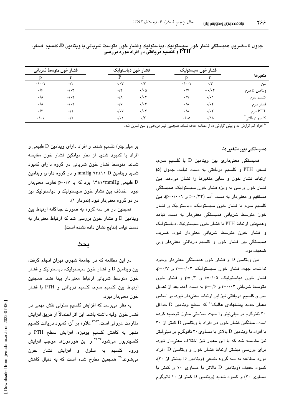|                | فشار خون سيستوليك |                      | فشار خون دياستوليک    |                  | فشار خون متوسط شرياني |                    |
|----------------|-------------------|----------------------|-----------------------|------------------|-----------------------|--------------------|
| متغيرها        |                   |                      | r                     | P                |                       |                    |
| سن             | $\cdot/\tau$      | $\cdot/\cdot\cdot$   | $\cdot$ /۳            | $\cdot/\cdot$ Y  | $\cdot/\tau$          | $\cdot/\cdot\cdot$ |
| ويتامين D سرم  | $-\cdot/\cdot7$   | $\cdot/\Upsilon$     | $\cdot/\cdot$ $\circ$ | $\cdot$ /۴       | $\cdot/\cdot$ ۳       | .19                |
| كلسيم سرم      | $\cdot/\cdot$     | $\cdot/9$            | $\cdot/\cdot7$        | $\cdot/\lambda$  | $\cdot/\cdot$ ۲       | $\cdot/\lambda$    |
| فسفر سرم       | $\cdot/\cdot$ ۲   | $\cdot/\lambda$      | $\cdot/\cdot$ ۳       | $\cdot/\Upsilon$ | $\cdot/\cdot$ ۲       | $\cdot/\lambda$    |
| سرم $\rm{PTH}$ | $\cdot/\cdot$ ۲   | $\cdot/\lambda$      | $\cdot/\cdot7$        | $\cdot/\cdot$ Y  | $\cdot/\wedge$        | $\cdot$ /۳         |
| كلسيم دريافتى  | $\cdot/\lambda$   | $\cdot/\cdot \Delta$ | $\cdot/\tau$          | $\cdot/\cdot$    | $\cdot/\tau$          | $\cdot/\cdot$      |

جدول ۵ ــ ضريب همبستگي فشار خون سيستوليک، دياستوليک وفشار خون متوسط شرياني با ويتامين D، کلسيم، فسفر، PTH و کلسیم دریافتی در افراد مورد بررسی

\* افراد کم گزارش ده و بیش گزارش ده از مطالعه حذف شدند. همچنین فیبر دریافتی و سن تعدیل شد..

#### ممبستگی بین متغیر ما

همبستگی معنیداری بین ویتامین D با کلسیم سرم، فسفر، PTH و كلسيم دريافتى به دست نيامد. جدول (۵) ارتباط فشار خون و سایر متغیرها را نشان میدهد. بین فشار خون و سن به ویژه فشار خون سیستولیک، همبستگی مستقیم و معنی دار به دست آمد (۳۳/۰۰۰ و p=۰/۰۰۱). بین کلسیم سرم با فشار خون سیستولیک، دیاستولیک و فشار خون متوسط شریانی همبستگی معنیدار به دست نیامد وهمچنین ارتباط PTH با فشار خون سیستولیک، دیاستولیک و فشار خون متوسط شریانی معنیدار نبود. ضریب همبستگی بین فشار خون و کلسیم دریافتی معنیدار ولی ضعيف بود.

بین ویتامین D و فشار خون همبستگی معنیدار وجود نداشت. جهت فشار خون سیستولیک، r=-۰/۰۲ و p=۰/۷، فشار خون دیاستولیک، r=۰/۰۵ و p=۰/۴ و فشار خون متوسط شریانی r=۰/۰۳ و p=۰/۶ به دست آمد. بعد از تعدیل سن و کلسیم دریافتی نیز این ارتباط معنیدار نبود. بر اساس معیار جدید پیشنهادی هالیک $^\prime$  که سطح ویتامین D حداقل ۳۰ نانوگرم بر میلی لیتر را جهت سلامتی سلول توصیه کرده است، میانگین فشار خون در افراد با ویتامین D کمتر از ۳۰ با افراد با ویتامین D بالاتر یا مساوی ۳۰ نانوگرم بر میلیلیتر نیز مقایسه شد که با این معیار نیز اختلاف معنیدار نبود. برای بررسی بیشتر ارتباط فشار خون و ویتامین D، افراد مورد مطالعه به سه گروه طبیعی (ویتامین D بیشتر از ۲۰). کمبود خفیف (ویتامین D بالاتر یا مساوی ۱۰ و کمتر یا مساوی ۲۰) و کمبود شدید (ویتامین D کمتر از ۱۰ نانوگرم

بر میلیلیتر) تقسیم شدند و افراد دارای ویتامین D طبیعی و افراد با کمبود شدید از نظر میانگین فشار خون مقایسه شدند. متوسط فشار خون شریانی در گروه دارای کمبود شدید ویتامین mmHg ۹۳±۱۱ D و در گروه دارای ویتامین D طبیعی ۲mmHg (۴±۱۲mmHg بود که با p=۰/۷ تفاوت معنی،دار نبود. اختلاف بین فشار خون سیستولیک و دیاستولیک نیز در دو گروه معنی دار نبود (نمودار ۱).

همچنین در هر سه گروه به صورت جداگانه ارتباط بین ویتامین D و فشار خون بررسی شد که ارتباط معنیدار به دست نيامد (نتايج نشان داده نشده است).

# ىحث

در این مطالعه که در جامعهٔ شهری تهران انجام گرفت، بین ویتامین D و فشار خون سیستولیک، دیاستولیک و فشار خون متوسط شریانی ارتباط معنیدار پیدا نشد. همچنین ارتباط بین کلسیم سرم، کلسیم دریافتی و PTH با فشار خون معنے دار نبود۔

به نظر می٫رسد که افزایش کلسیم سلولی نقش مهمی در فشار خون اوليه داشته باشد. اين اثر احتمالاً از طريق افزايش مقاومت عروقی است.<sup>۲۲،۲۲</sup> علاوه بر آن، کمبود دریافت کلسیم منجر به کاهش کلسیم یونیزه، افزایش سطح PTH و کلسپتریول میشود<sup>۲۲،۲۴</sup> و این هورمونها موجب افزایش ورود کلسیم به سلول و افزایش فشار خون میشوند.<sup>۲۵</sup> همچنین مطرح شده است که به دنبال کاهش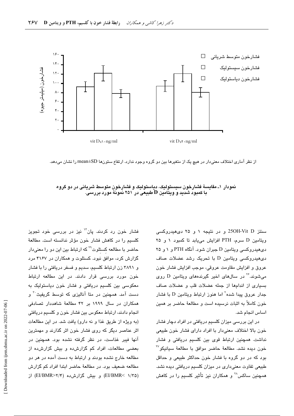

از نظر آماری اختلاف معنیدار در هیچ یک از متغیرها بین دو گروه وجود ندارد. ارتفاع ستونها mean±SD را نشان میدهد.

نمودار ۱ـ مقایسهٔ فشارخون سیستولیک، دیاستولیک و فشارخون متوسط شریانی در دو گروه با کمبود شدید و ویتامین D طبیعی در ۲۵۱ نمونهٔ مورد بررسی.

> سنتز 25OH-Vit D و در نتیجه ۱ و ۲۵ دی هیدروکسی ويتامين D سرم، PTH افزايش مى يابد تا كمبود ١ و ٢٥ دی، پدروکسی ویتامین D جبران شود. آنگاه PTH و ۱ و ۲۵ دی هیدروکسی ویتامین D با تحریک رشد عضلات صاف عروق و افزايش مقاومت عروقي، موجب افزايش فشار خون میشوند.<sup>۲۶</sup> در سالهای اخیر گیرندههای ویتامین D روی بسیاری از اندامها از جمله عضلات قلب و عضلات صاف جدار عروق پیدا شده<sup>۲</sup> اما هنوز ارتباط ویتامین D با فشار خون كاملاً به اثبات نرسیده است و مطالعهٔ حاضر بر همین اساس انجام شد.

> در این بررسی میزان کلسیم دریافتی در افراد دچار فشار خون بالا اختلاف معنى دار با افراد داراى فشار خون طبيعى نداشت. همچنین ارتباط قوی بین کلسیم دریافتی و فشار خون ديده نشد. مطالعهٔ حاضر موافق با مطالعهٔ سیانیکو™ بود که در دو گروه با فشار خون حداکثر طبیعی و حداقل طبیعی تفاوت معنیداری در میزان کلسیم دریافتی دیده نشد. همچنین ساکس<sup>۲۸</sup> و همکاران نیز تأثیر کلسیم را در کاهش

فشار خون رد کردند. پان<sup>۱٬</sup> نیز در بررس*ی* خود تجویز كلسيم را در كاهش فشار خون مؤثر ندانسته است. مطالعهٔ حاضر با مطالعه کستلوت<sup>۲۹</sup> که ارتباط بین این دو را معنیدار گزارش کرد، موافق نبود. کستلوت و همکاران در ۴۱۶۷ مرد و ۳۸۹۱ زن ارتباط کلسیم، سدیم و فسفر دریافتی را با فشار خون مورد بررسی قرار دادند. در این مطالعه ارتباط معکوسی بین کلسیم دریافتی و فشار خون دیاستولیک به دست آمد. همچنین در متا آنالیزی که توسط گریفیث<sup>۳۰</sup> و همکاران در سال ۱۹۹۹ بر ۴۲ مطالعهٔ شاهددار تصادفی انجام دادند، ارتباط معکوس بین فشار خون و کلسیم دریافتی (به ویژه از طریق غذا و نه دارو) یافت شد. در این مطالعات اثر عناصر دیگر که روی فشار خون اثر گذارند و مهمترین آنها فیبر غذاست، در نظر گرفته نشده بود. همچنین در بعضی مطالعات، افراد کم گزارش ده و بیش گزارش ده از مطالعه خارج نشده بودند و ارتباط به دست آمده در هر دو مطالعه ضعیف بود. در مطالعهٔ حاضر ابتدا افراد کم گزارش (EI/BMR< ۱/۳۵) و بیش گزارش ده (EI/BMR< ۱/۳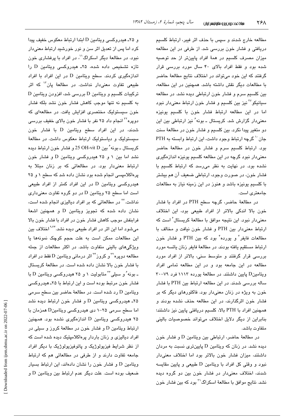مطالعه خارج شدند و سپس با حذف اثر فیبر، ارتباط کلسیم دریافتی و فشار خون بررسی شد. از طرفی در این مطالعه میزان مصرف کلسیم در همهٔ افراد پایینتر از حد توصیه شده بود و فقط افراد بالای ۴۰ سال مورد بررسی قرار گرفتند که این خود میتواند در اختلاف نتایج مطالعهٔ حاضر با مطالعات دیگر نقش داشته باشد. همچنین در این مطالعه، بین کلسیم سرم و فشار خون ارتباطی دیده نشد. در مطالعه سیانیکو<sup>۲۷</sup> نیز بین کلسیم و فشار خون ارتباط معنیدار نبود اما در این مطالعه ارتباط فشار خون با کلسیم یونیزه معنیدار گزارش شد. کریستال ــ بونه ٔ نیز ارتباطی بین این دو متغیر پیدا نکرد. بین کلسیم و فشار خون در مطالعهٔ سنت جان `` گرچه ارتباط وجود داشت، این ارتباط وابسته به PTH بود. ارتباط کلسیم سرم و فشار خون در مطالعهٔ حاضر معنیدار نبود گرچه در این مطالعه کلسیم یونیزه اندازهگیری نشده بود. در نهایت به نظر میرسد که ارتباط کلسیم با فشار خون، در صورت وجود، ارتباطی ضعیف ان هم بیشتر با کلسیم یونیزه باشد و هنوز در این زمینه نیاز به مطالعات جامعتری است.

در مطالعهٔ حاضر، گرچه سطح PTH در افراد با فشار خون بالا اندکی بالاتر از افراد طبیعی بود، این اختلاف معنیدار نبود. این نتیجه موافق با مطالعهٔ کریستال ٔ است که ارتباط معنى دار بين PTH و فشار خون نيافت و مخالف با مطالعات فایفر<sup>٬</sup> و یورده<sup>٬</sup> بود که بین PTH و فشار خون ارتباط مستقيم يافته بودند. در مطالعهٔ فايفر زنان يائسه مورد بررسی قرار گرفتند و متوسط سنی، بالاتر از افراد مورد مطالعه در این جامعه بود و در این مطالعه تمامی افراد ویتامینD پایین داشتند. در مطالعهٔ یورده ۱۱۱۳ فرد ۷۹–۳۰ ساله بررسی شدند. در این مطالعه ارتباط بین PTH با فشار خون به ویژه در زنان معنیدار بود. فاکتورهای دیگر که بر فشار خون اثرگذارند، در این مطالعه حذف نشده بودند و همچنین افراد با PTH بالا، کلسیم دریافتی پایین نیز داشتند؛ بنابراین از دیگر دلایل اختلاف میتواند خصوصیات بالینی متفاوت باشد.

 $\rm\,D$  در مطالعهٔ حاضر، ارتباطی بین ویتامین  $\rm\,D$  و فشار خون  $\,$ دیده نشد. در زنان که ویتامین  $D$  پایینتری نسبت به مردان داشتند، میزان فشار خون بالاتر بود اما اختلاف معنیدار نبود و وقتی کل افراد با ویتامین D طبیعی و پایین مقایسه شدند، اختلاف معنیدار در فشار خون بین دو گروه دیده نشد. نتایج موافق با مطالعهٔ اسکراگ<sup>۳۱</sup> بود که بین فشار خون

و ۲۵ـ هیدروکسی ویتامین D ابتدا ارتباط معکوس خفیف پیدا کرد اما پس از ت**ع**دیل اثر سن و نور خورشید ارتباط معنیدار نبود. در مطالعهٔ دیگر اسکراگ'`، در افراد با پرفشاری خون  $\,$ تازه تشخیص داده شده، ۲۵ـ هیدروکسی ویتامین  $\,$  را اندازهگیری کردند. سطح ویتامین D در این افراد با افراد طبیعی تفاوت معنیدار نداشت. در مطالعهٔ پان<sup>۱۳</sup> که اثر  $\rm D$  ترکیبات کلسیم و ویتامین  $\rm D$  بررسی شد، افزودن ویتامین به كلسيم نه تنها موجب كاهش فشار خون نشد بلكه فشار خون سیستولیک مختصری افزایش یافت. در مطالعهای که دوپره<sup>۳۲</sup> انجام داد ۲۵ نفر با فشار خون بالای خفیف بررس*ی* شدند، در این افراد سطح ویتامین D با فشار خون سیستولیک و دیاستولیک ارتباط معکوس داشت. در مطالعهٔ كريستال ــ بونه ً بين OH-vit D و 35 و فشار خون ارتباط ديده نشد اما بین ۱ و ۲۵ هیدروکسی ویتامین D و فشار خون ارتباط معنیدار بود. در مطالعاتی که بر زنان مبتلا به پرهاکلامپسی انجام شده بود نشان داده شد که سطح ۱ و ۲۵ هیدروکسی ویتامین D در این افراد کمتر از افراد طبیعی است اما سطح ۲۵ ویتامین D در دو گروه تفاوت معنیداری نداشت.<sup>۳</sup> در مطالعاتی که بر افراد دیالیزی انجام شده است، نشان داده شده که تجویز ویتامین D و همچنین اشعهٔ فرابنفش موجب کاهش فشار خون در افراد با فشار خون بالا میشود اما این اثر در افراد طبیعی دیده نشد.<sup>۹٬۳۴</sup> اختلاف بین ین مطالعات ممکن است به علت حجم کوچک نمونهها یا ļ ویژگیهای بالینی متفاوت باشد. در اکثر مطالعات از جمله مطالعه دوپره<sup>۲۲</sup> و کروز<sup>۳۴</sup> اثر درمانی ویتامین D فقط در افراد با فشار خون بالا نشان داده شده است. در مطالعهٔ کریستال - بونه ٔ و سیلی ٔ آمتابولیت ۱ و ۲۵ هیدروکسی ویتامین D با فشار خون مرتبط بوده است و این ارتباط با ۲۵ـ هیدروکسی  $_{\rm g}$ ویتامین  ${\rm D}$  رد شده است. در مطالعهٔ حاضر بین سطح سرمی ۲۵ـ هیدروکسی ویتامین D و فشار خون ارتباط دیده نشد اما سطح سرمی ۲۵–۱ دی هیدروکسی ویتامینD همزمان با ۲۵ هیدروکسی ویتامین D اندازهگیری نشده بود. همچنین ارتباط ویتامین D و فشار خون در مطالعهٔ کروز و سبلی در افراد دیالیزی و زنان باردار پرهاکلامپتیک دیده شده است که از نظر شرایط فیزیولوژیک و پاتوفیزیولوژیک با دیگر افراد جامعه تفاوت دارند و از طرفی در مطالعاتی هم که ارتباط ویتامین D و فشار خون را نشان دادهاند، این ارتباط بسیار ضعيف بوده است. علت ديگر عدم ارتباط بين ويتامين D و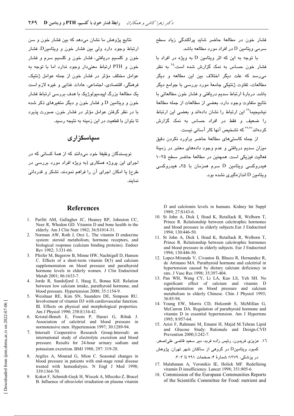فشار خون در مطالعهٔ حاضر شاید پراکندگی زیاد سطح سرمے ویتامین D در افراد مورد مطالعه پاشد.

با توجه به این که اثر ویتامین D به ویژه در افراد با فشار خون حساس به نمک گزارش شده است،<sup>۳۵</sup> به نظر می رسد که علت دیگر اختلاف بین این مطالعه و دیگر مطالعات، تفاوت ژنتیکی جامعهٔ مورد بررسی با جوامع دیگر باشد. دربارهٔ ارتباط سدیم دریافتی و فشار خون مطالعاتی با نتايج متفاوت وجود دارد. بعضي از مطالعات از جمله مطالعهٔ نشیجیما<sup>۳۶</sup> این ارتباط را نشان دادهاند و بعضی این ارتباط را ضعیف و فقط در افراد حساس به نمک گزارش کر دواند<sup>۲۹،۳۷</sup> که تشخیص آنها کار آسانی نیست.

از جمله کاستے،های مطالعهٔ حاضر پراورد نکردن دقیق میزان سدیم دریافتی و عدم وجود دادههای معتبر در زمینهٔ فعالیت فیزیکی است. همچنین در مطالعهٔ حاضر سطح ۲۵–۱ هیدروکسی ویتامین D سرم همزمان با ۲۵ـ هیدروکسی ویتامین D انداز مگیری نشده بود.

D and calcitonin levels in humans. Kidney Int Suppl 1989; 27:S143-6.

- 10. St John A, Dick I, Hoad K, Retallack R, Welborn T, Prince R. Relationship between calcitrophic hormones and blood pressure in elderly subjects. Eur J Endocrinol 1994; 130:446-50.
- 11. St John A, Dick I, Hoad K, Retallack R, Welborn T, Prince R. Relationship between calcitrophic hormones and blood pressure in elderly subjects. Eur J Endocrinol 1994: 130:446-50.
- 12. Lopez-Miranda V, Civantos B, Blasco R, Hernandez R, de Artinano MA. Parathyroid hormone and calcitriol in hypertension caused by dietary calcium deficiency in rats. J Vasc Res 1998; 35:397-404.
- 13. Pan WH, Wang CY, Li LA, Kao LS, Yeh SH. No significant effect of calcium and vitamin D supplementation on blood pressure and calcium metabolism in elderly Chinese. Chin J Physiol 1993;  $36.85 - 94$
- 14. Young EW, Morris CD, Holcomb S, McMillan G, McCarron DA. Regulation of parathyroid hormone and vitamin D in essential hypertension. Am J Hypertens 1995; 8:957-64.
- 15. Azizi F, Rahmani M, Emami H, Majid M.Tehran Lipid and Glucose Study: Rationale and Design.CVD Prevention 2000:3:242-7

١٦. عزیزی فریدون، رئیس زاده فربد، میر سعید قاضی علیاصغر.

در پزشکی، ۱۳۷۹؛ شمارهٔ ۴، صفحات ۲۹۱ تا ۳۰۳.

- 17. Malabanan A, Veronikis IE, Holick MF. Redefining vitamin D insufficiency. Lancet 1998; 351:805-6.
- 18. Commission of the European Communities Reports of the Scientific Committee for Food: nutrient and

نتايج پژوهش ما نشان مي،دهد كه بين فشار خون و سن ارتباط وجود دارد ولی بین فشار خون و ویتامینD، فشار خون و کلسیم دریافتی، فشار خون و کلسیم سرم و فشار خون و PTH ارتباط معنى دار وجود ندارد اما با توجه به عوامل مختلف مؤثر در فشار خون از جمله عوامل ژنتیک، فرهنگی، اقتصادی، اجتماعی، عادات غذایی و غیره لازم است یک مطالعۀ بزرگ ایپدمیولوژیک با هدف بررسی ارتباط فشار خون و ویتامین D و فشار خون و دیگر متغیرهای ذکر شده یا در نظر گرفتن عوامل مؤثر در فشار خون، صورت پذیرد تا بتوان با قطعیت در این زمینه به نتیجه رسید.

# سیاسگزاری

نویسندگان وظیفهٔ خود میدانند که از همهٔ کسانی که در اجرای این پروژه همکاری (به ویژه افراد مورد بررسی در طرح) یا امکان اجرای آن را فراهم نمودند، تشکر و قدردانی نمايند.

#### **References**

- 1. Parfitt AM, Gallagher JC, Heaney RP, Johnston CC, Neer R, Whedon GD. Vitamin D and bone health in the elderly. Am J Clin Nutr 1982; 36:S1014-31.
- 2. Norman AW, Roth J, Orci L. The vitamin D endocrine system: steroid metabolism, hormone receptors, and biological response (calcium binding proteins). Endocr Rev 1982; 3:331-66.
- Pfeifer M, Begerow B, Minne HW, Nachtigall D, Hansen  $\mathcal{E}$ C. Effects of a short-term vitamin  $D(3)$  and calcium supplementation on blood pressure and parathyroid hormone levels in elderly women. J Clin Endocrinol Metab 2001; 86:1633-7.
- 4. Jorde R, Sundsfjord J, Haug E, Bonaa KH. Relation between low calcium intake, parathyroid hormone, and blood pressure. Hypertension 2000; 35:1154-9.
- Weishaar RE, Kim SN, Saunders DE, Simpson RU. Involvement of vitamin D3 with cardiovascular function. III. Effects on physical and morphological properties. Am J Physiol 1990; 258:E134-42.
- 6. Kristal-Boneh E, Froom P, Harari G, Ribak J. Association of calcitriol and blood pressure in normotensive men. Hypertension 1997; 30:1289-94.
- 7. Intersalt Cooperative Research Group.Intersalt: an international study of electrolyte excretion and blood pressure. Results for 24-hour urinary sodium and potassium excretion. BMJ 1988; 297: 319-28.
- 8. Argiles A, Mourad G, Mion C. Seasonal changes in blood pressure in patients with end-stage renal disease treated with hemodialysis. N Engl J Med 1998;  $339.1364 - 70$
- 9. Kokot F. Schmidt-Gavk H. Wiecek A. Mleczko Z. Bracel B. Influence of ultraviolet irradiation on plasma vitamin